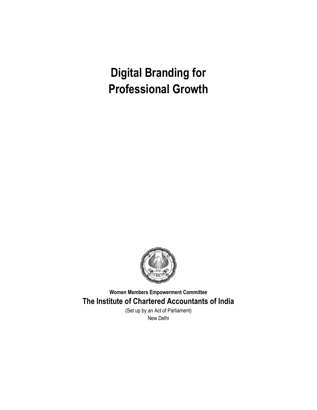

**Women Members Empowerment Committee The Institute of Chartered Accountants of India**

> (Set up by an Act of Parliament) New Delhi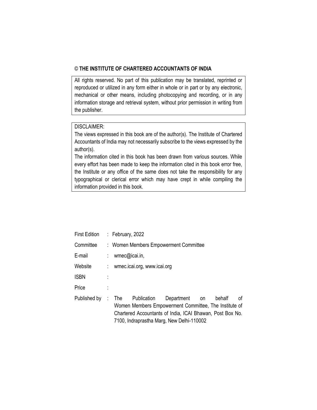## © **THE INSTITUTE OF CHARTERED ACCOUNTANTS OF INDIA**

All rights reserved. No part of this publication may be translated, reprinted or reproduced or utilized in any form either in whole or in part or by any electronic, mechanical or other means, including photocopying and recording, or in any information storage and retrieval system, without prior permission in writing from the publisher.

## DISCLAIMER:

The views expressed in this book are of the author(s). The Institute of Chartered Accountants of India may not necessarily subscribe to the views expressed by the author(s).

The information cited in this book has been drawn from various sources. While every effort has been made to keep the information cited in this book error free, the Institute or any office of the same does not take the responsibility for any typographical or clerical error which may have crept in while compiling the information provided in this book.

| <b>First Edition</b> | : February, $2022$                    |             |                                                                                                                                                                               |    |        |    |  |
|----------------------|---------------------------------------|-------------|-------------------------------------------------------------------------------------------------------------------------------------------------------------------------------|----|--------|----|--|
| Committee            | : Women Members Empowerment Committee |             |                                                                                                                                                                               |    |        |    |  |
| E-mail               | : wmec@icai.in,                       |             |                                                                                                                                                                               |    |        |    |  |
| Website              | wmec.icai.org, www.icai.org           |             |                                                                                                                                                                               |    |        |    |  |
| <b>ISBN</b>          |                                       |             |                                                                                                                                                                               |    |        |    |  |
| Price                |                                       |             |                                                                                                                                                                               |    |        |    |  |
| Published by         | : The $\overline{\phantom{a}}$        | Publication | Department<br>Women Members Empowerment Committee, The Institute of<br>Chartered Accountants of India, ICAI Bhawan, Post Box No.<br>7100, Indraprastha Marg, New Delhi-110002 | on | behalf | οf |  |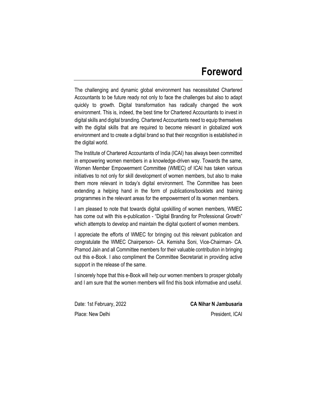# **Foreword**

The challenging and dynamic global environment has necessitated Chartered Accountants to be future ready not only to face the challenges but also to adapt quickly to growth. Digital transformation has radically changed the work environment. This is, indeed, the best time for Chartered Accountants to invest in digital skills and digital branding. Chartered Accountants need to equip themselves with the digital skills that are required to become relevant in globalized work environment and to create a digital brand so that their recognition is established in the digital world.

The Institute of Chartered Accountants of India (ICAI) has always been committed in empowering women members in a knowledge-driven way. Towards the same, Women Member Empowerment Committee (WMEC) of ICAI has taken various initiatives to not only for skill development of women members, but also to make them more relevant in today's digital environment. The Committee has been extending a helping hand in the form of publications/booklets and training programmes in the relevant areas for the empowerment of its women members.

I am pleased to note that towards digital upskilling of women members, WMEC has come out with this e-publication - "Digital Branding for Professional Growth" which attempts to develop and maintain the digital quotient of women members.

I appreciate the efforts of WMEC for bringing out this relevant publication and congratulate the WMEC Chairperson- CA. Kemisha Soni, Vice-Chairman- CA. Pramod Jain and all Committee members for their valuable contribution in bringing out this e-Book. I also compliment the Committee Secretariat in providing active support in the release of the same.

I sincerely hope that this e-Book will help our women members to prosper globally and I am sure that the women members will find this book informative and useful.

Place: New Delhi **President, ICAI** 

Date: 1st February, 2022 **CA Nihar N Jambusaria**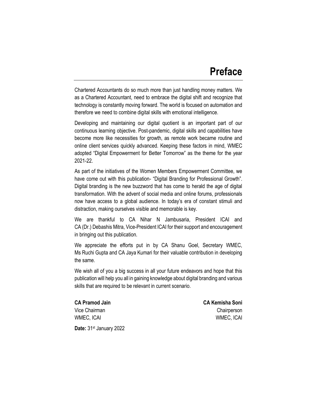Chartered Accountants do so much more than just handling money matters. We as a Chartered Accountant, need to embrace the digital shift and recognize that technology is constantly moving forward. The world is focused on automation and therefore we need to combine digital skills with emotional intelligence.

Developing and maintaining our digital quotient is an important part of our continuous learning objective. Post-pandemic, digital skills and capabilities have become more like necessities for growth, as remote work became routine and online client services quickly advanced. Keeping these factors in mind, WMEC adopted "Digital Empowerment for Better Tomorrow" as the theme for the year 2021-22.

As part of the initiatives of the Women Members Empowerment Committee, we have come out with this publication- "Digital Branding for Professional Growth". Digital branding is the new buzzword that has come to herald the age of digital transformation. With the advent of social media and online forums, professionals now have access to a global audience. In today's era of constant stimuli and distraction, making ourselves visible and memorable is key.

We are thankful to CA Nihar N Jambusaria, President ICAI and CA (Dr.) Debashis Mitra, Vice-President ICAI for their support and encouragement in bringing out this publication.

We appreciate the efforts put in by CA Shanu Goel, Secretary WMEC, Ms Ruchi Gupta and CA Jaya Kumari for their valuable contribution in developing the same.

We wish all of you a big success in all your future endeavors and hope that this publication will help you all in gaining knowledge about digital branding and various skills that are required to be relevant in current scenario.

**CA Pramod Jain CA Kemisha Soni** Vice Chairman Chairperson WMEC, ICAI WMEC, ICAI

**Date:** 31st January 2022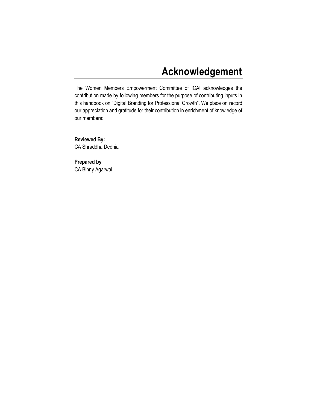# **Acknowledgement**

The Women Members Empowerment Committee of ICAI acknowledges the contribution made by following members for the purpose of contributing inputs in this handbook on "Digital Branding for Professional Growth". We place on record our appreciation and gratitude for their contribution in enrichment of knowledge of our members:

**Reviewed By:**  CA Shraddha Dedhia

**Prepared by**  CA Binny Agarwal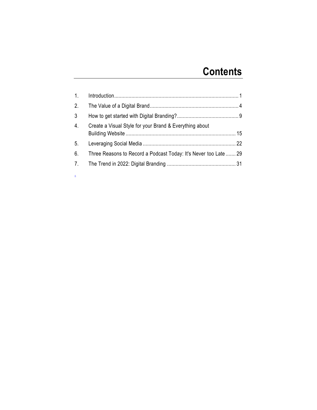# **Contents**

| $\mathbf{1}$ .   |                                                                  |  |
|------------------|------------------------------------------------------------------|--|
| 2.               |                                                                  |  |
| $\mathbf{3}$     |                                                                  |  |
| $\overline{4}$ . | Create a Visual Style for your Brand & Everything about          |  |
| 5.               |                                                                  |  |
| 6.               | Three Reasons to Record a Podcast Today: It's Never too Late  29 |  |
| 7 <sub>1</sub>   |                                                                  |  |

.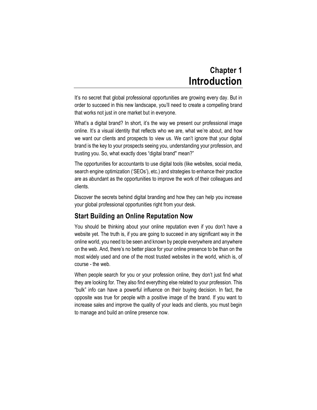# **Chapter 1 Introduction**

<span id="page-10-0"></span>It's no secret that global professional opportunities are growing every day. But in order to succeed in this new landscape, you'll need to create a compelling brand that works not just in one market but in everyone.

What's a digital brand? In short, it's the way we present our professional image online. It's a visual identity that reflects who we are, what we're about, and how we want our clients and prospects to view us. We can't ignore that your digital brand is the key to your prospects seeing you, understanding your profession, and trusting you. So, what exactly does "digital brand'' mean?"

The opportunities for accountants to use digital tools (like websites, social media, search engine optimization ('SEOs'), etc.) and strategies to enhance their practice are as abundant as the opportunities to improve the work of their colleagues and clients.

Discover the secrets behind digital branding and how they can help you increase your global professional opportunities right from your desk.

# **Start Building an Online Reputation Now**

You should be thinking about your online reputation even if you don't have a website yet. The truth is, if you are going to succeed in any significant way in the online world, you need to be seen and known by people everywhere and anywhere on the web. And, there's no better place for your online presence to be than on the most widely used and one of the most trusted websites in the world, which is, of course - the web.

When people search for you or your profession online, they don't just find what they are looking for. They also find everything else related to your profession. This "bulk" info can have a powerful influence on their buying decision. In fact, the opposite was true for people with a positive image of the brand. If you want to increase sales and improve the quality of your leads and clients, you must begin to manage and build an online presence now.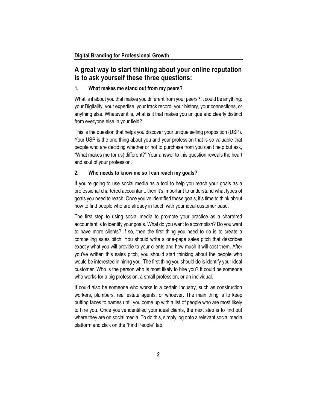# **A great way to start thinking about your online reputation is to ask yourself these three questions:**

### **1. What makes me stand out from my peers?**

What is it about you that makes you different from your peers? It could be anything: your Digitality, your expertise, your track record, your history, your connections, or anything else. Whatever it is, what is it that makes you unique and clearly distinct from everyone else in your field?

This is the question that helps you discover your unique selling proposition (USP). Your USP is the one thing about you and your profession that is so valuable that people who are deciding whether or not to purchase from you can't help but ask, "What makes me (or us) different?" Your answer to this question reveals the heart and soul of your profession.

### **2. Who needs to know me so I can reach my goals?**

If you're going to use social media as a tool to help you reach your goals as a professional chartered accountant, then it's important to understand what types of goals you need to reach. Once you've identified those goals, it's time to think about how to find people who are already in touch with your ideal customer base.

The first step to using social media to promote your practice as a chartered accountant is to identify your goals. What do you want to accomplish? Do you want to have more clients? If so, then the first thing you need to do is to create a compelling sales pitch. You should write a one-page sales pitch that describes exactly what you will provide to your clients and how much it will cost them. After you've written this sales pitch, you should start thinking about the people who would be interested in hiring you. The first thing you should do is identify your ideal customer. Who is the person who is most likely to hire you? It could be someone who works for a big profession, a small profession, or an individual.

It could also be someone who works in a certain industry, such as construction workers, plumbers, real estate agents, or whoever. The main thing is to keep putting faces to names until you come up with a list of people who are most likely to hire you. Once you've identified your ideal clients, the next step is to find out where they are on social media. To do this, simply log onto a relevant social media platform and click on the "Find People" tab.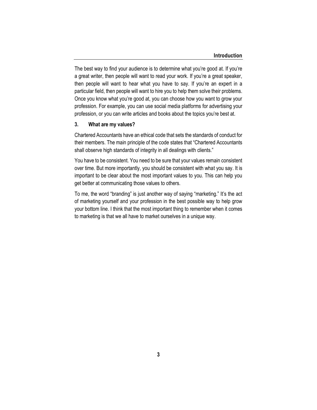The best way to find your audience is to determine what you're good at. If you're a great writer, then people will want to read your work. If you're a great speaker, then people will want to hear what you have to say. If you're an expert in a particular field, then people will want to hire you to help them solve their problems. Once you know what you're good at, you can choose how you want to grow your profession. For example, you can use social media platforms for advertising your profession, or you can write articles and books about the topics you're best at.

#### **3. What are my values?**

Chartered Accountants have an ethical code that sets the standards of conduct for their members. The main principle of the code states that "Chartered Accountants shall observe high standards of integrity in all dealings with clients."

You have to be consistent. You need to be sure that your values remain consistent over time. But more importantly, you should be consistent with what you say. It is important to be clear about the most important values to you. This can help you get better at communicating those values to others.

To me, the word "branding" is just another way of saying "marketing." It's the act of marketing yourself and your profession in the best possible way to help grow your bottom line. I think that the most important thing to remember when it comes to marketing is that we all have to market ourselves in a unique way.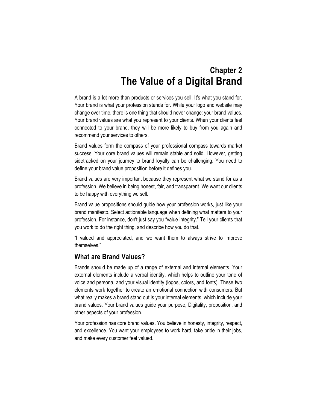# **Chapter 2 The Value of a Digital Brand**

<span id="page-13-0"></span>A brand is a lot more than products or services you sell. It's what you stand for. Your brand is what your profession stands for. While your logo and website may change over time, there is one thing that should never change: your brand values. Your brand values are what you represent to your clients. When your clients feel connected to your brand, they will be more likely to buy from you again and recommend your services to others.

Brand values form the compass of your professional compass towards market success. Your core brand values will remain stable and solid. However, getting sidetracked on your journey to brand loyalty can be challenging. You need to define your brand value proposition before it defines you.

Brand values are very important because they represent what we stand for as a profession. We believe in being honest, fair, and transparent. We want our clients to be happy with everything we sell.

Brand value propositions should guide how your profession works, just like your brand manifesto. Select actionable language when defining what matters to your profession. For instance, don't just say you "value integrity." Tell your clients that you work to do the right thing, and describe how you do that.

"l valued and appreciated, and we want them to always strive to improve themselves."

# **What are Brand Values?**

Brands should be made up of a range of external and internal elements. Your external elements include a verbal identity, which helps to outline your tone of voice and persona, and your visual identity (logos, colors, and fonts). These two elements work together to create an emotional connection with consumers. But what really makes a brand stand out is your internal elements, which include your brand values. Your brand values guide your purpose, Digitality, proposition, and other aspects of your profession.

Your profession has core brand values. You believe in honesty, integrity, respect, and excellence. You want your employees to work hard, take pride in their jobs, and make every customer feel valued.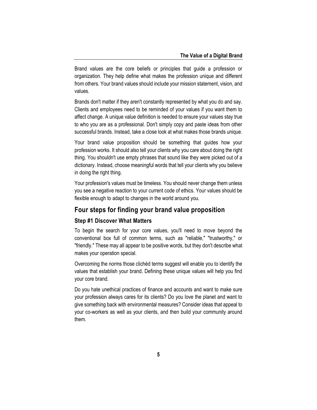Brand values are the core beliefs or principles that guide a profession or organization. They help define what makes the profession unique and different from others. Your brand values should include your mission statement, vision, and values.

Brands don't matter if they aren't constantly represented by what you do and say. Clients and employees need to be reminded of your values if you want them to affect change. A unique value definition is needed to ensure your values stay true to who you are as a professional. Don't simply copy and paste ideas from other successful brands. Instead, take a close look at what makes those brands unique.

Your brand value proposition should be something that guides how your profession works. It should also tell your clients why you care about doing the right thing. You shouldn't use empty phrases that sound like they were picked out of a dictionary. Instead, choose meaningful words that tell your clients why you believe in doing the right thing.

Your profession's values must be timeless. You should never change them unless you see a negative reaction to your current code of ethics. Your values should be flexible enough to adapt to changes in the world around you.

## **Four steps for finding your brand value proposition**

#### **Step #1 Discover What Matters**

To begin the search for your core values, you'll need to move beyond the conventional box full of common terms, such as "reliable," "trustworthy," or "friendly." These may all appear to be positive words, but they don't describe what makes your operation special.

Overcoming the norms those clichéd terms suggest will enable you to identify the values that establish your brand. Defining these unique values will help you find your core brand.

Do you hate unethical practices of finance and accounts and want to make sure your profession always cares for its clients? Do you love the planet and want to give something back with environmental measures? Consider ideas that appeal to your co-workers as well as your clients, and then build your community around them.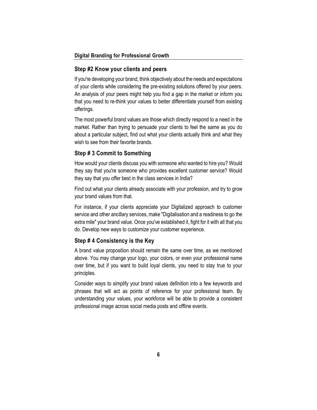#### **Step #2 Know your clients and peers**

If you're developing your brand, think objectively about the needs and expectations of your clients while considering the pre-existing solutions offered by your peers. An analysis of your peers might help you find a gap in the market or inform you that you need to re-think your values to better differentiate yourself from existing offerings.

The most powerful brand values are those which directly respond to a need in the market. Rather than trying to persuade your clients to feel the same as you do about a particular subject, find out what your clients actually think and what they wish to see from their favorite brands.

### **Step # 3 Commit to Something**

How would your clients discuss you with someone who wanted to hire you? Would they say that you're someone who provides excellent customer service? Would they say that you offer best in the class services in India?

Find out what your clients already associate with your profession, and try to grow your brand values from that.

For instance, if your clients appreciate your Digitalized approach to customer service and other ancillary services, make "Digitalisation and a readiness to go the extra mile" your brand value. Once you've established it, fight for it with all that you do. Develop new ways to customize your customer experience.

#### **Step # 4 Consistency is the Key**

A brand value proposition should remain the same over time, as we mentioned above. You may change your logo, your colors, or even your professional name over time, but if you want to build loyal clients, you need to stay true to your principles.

Consider ways to simplify your brand values definition into a few keywords and phrases that will act as points of reference for your professional team. By understanding your values, your workforce will be able to provide a consistent professional image across social media posts and offline events.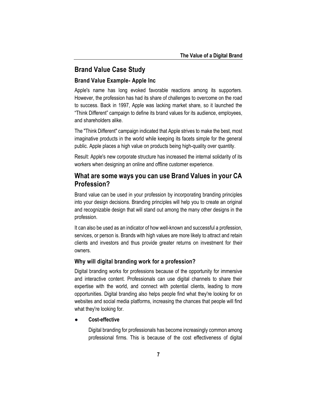# **Brand Value Case Study**

## **Brand Value Example- Apple Inc**

Apple's name has long evoked favorable reactions among its supporters. However, the profession has had its share of challenges to overcome on the road to success. Back in 1997, Apple was lacking market share, so it launched the "Think Different" campaign to define its brand values for its audience, employees, and shareholders alike.

The "Think Different" campaign indicated that Apple strives to make the best, most imaginative products in the world while keeping its facets simple for the general public. Apple places a high value on products being high-quality over quantity.

Result: Apple's new corporate structure has increased the internal solidarity of its workers when designing an online and offline customer experience.

# **What are some ways you can use Brand Values in your CA Profession?**

Brand value can be used in your profession by incorporating branding principles into your design decisions. Branding principles will help you to create an original and recognizable design that will stand out among the many other designs in the profession.

It can also be used as an indicator of how well-known and successful a profession, services, or person is. Brands with high values are more likely to attract and retain clients and investors and thus provide greater returns on investment for their owners.

### **Why will digital branding work for a profession?**

Digital branding works for professions because of the opportunity for immersive and interactive content. Professionals can use digital channels to share their expertise with the world, and connect with potential clients, leading to more opportunities. Digital branding also helps people find what they're looking for on websites and social media platforms, increasing the chances that people will find what they're looking for.

### ● **Cost-effective**

Digital branding for professionals has become increasingly common among professional firms. This is because of the cost effectiveness of digital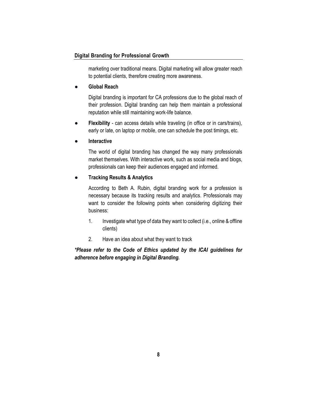marketing over traditional means. Digital marketing will allow greater reach to potential clients, therefore creating more awareness.

#### ● **Global Reach**

Digital branding is important for CA professions due to the global reach of their profession. Digital branding can help them maintain a professional reputation while still maintaining work-life balance.

**Flexibility** - can access details while traveling (in office or in cars/trains), early or late, on laptop or mobile, one can schedule the post timings, etc.

#### ● **Interactive**

The world of digital branding has changed the way many professionals market themselves. With interactive work, such as social media and blogs, professionals can keep their audiences engaged and informed.

### ● **Tracking Results & Analytics**

According to Beth A. Rubin, digital branding work for a profession is necessary because its tracking results and analytics. Professionals may want to consider the following points when considering digitizing their business:

- 1. Investigate what type of data they want to collect (i.e., online & offline clients)
- 2. Have an idea about what they want to track

*\*Please refer to the Code of Ethics updated by the ICAI guidelines for adherence before engaging in Digital Branding.*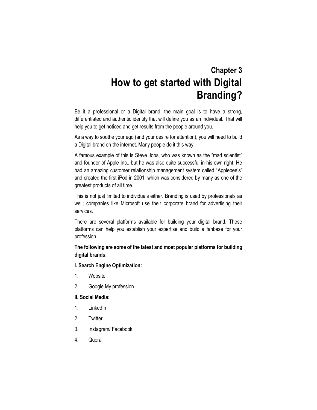# **Chapter 3 How to get started with Digital Branding?**

<span id="page-18-0"></span>Be it a professional or a Digital brand, the main goal is to have a strong, differentiated and authentic identity that will define you as an individual. That will help you to get noticed and get results from the people around you.

As a way to soothe your ego (and your desire for attention), you will need to build a Digital brand on the internet. Many people do it this way.

A famous example of this is Steve Jobs, who was known as the "mad scientist" and founder of Apple Inc., but he was also quite successful in his own right. He had an amazing customer relationship management system called "Applebee's" and created the first iPod in 2001, which was considered by many as one of the greatest products of all time.

This is not just limited to individuals either. Branding is used by professionals as well; companies like Microsoft use their corporate brand for advertising their services.

There are several platforms available for building your digital brand. These platforms can help you establish your expertise and build a fanbase for your profession.

## **The following are some of the latest and most popular platforms for building digital brands:**

### **I. Search Engine Optimization:**

- 1. Website
- 2. Google My profession

#### **II. Social Media:**

- 1. LinkedIn
- 2. Twitter
- 3. Instagram/ Facebook
- 4. Quora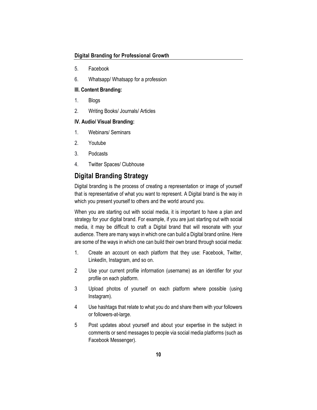- 5. Facebook
- 6. Whatsapp/ Whatsapp for a profession

#### **III. Content Branding:**

- 1. Blogs
- 2. Writing Books/ Journals/ Articles

#### **IV. Audio/ Visual Branding:**

- 1. Webinars/ Seminars
- 2. Youtube
- 3. Podcasts
- 4. Twitter Spaces/ Clubhouse

# **Digital Branding Strategy**

Digital branding is the process of creating a representation or image of yourself that is representative of what you want to represent. A Digital brand is the way in which you present yourself to others and the world around you.

When you are starting out with social media, it is important to have a plan and strategy for your digital brand. For example, if you are just starting out with social media, it may be difficult to craft a Digital brand that will resonate with your audience. There are many ways in which one can build a Digital brand online. Here are some of the ways in which one can build their own brand through social media:

- 1. Create an account on each platform that they use: Facebook, Twitter, LinkedIn, Instagram, and so on.
- 2 Use your current profile information (username) as an identifier for your profile on each platform.
- 3 Upload photos of yourself on each platform where possible (using Instagram).
- 4 Use hashtags that relate to what you do and share them with your followers or followers-at-large.
- 5 Post updates about yourself and about your expertise in the subject in comments or send messages to people via social media platforms (such as Facebook Messenger).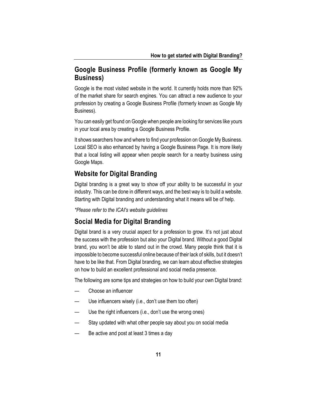# **Google Business Profile (formerly known as Google My Business)**

Google is the most visited website in the world. It currently holds more than [92%](https://www.hootsuite.com/resources/digital-trends-q4-update) of the market share for search engines. You can attract a new audience to your profession by creating a Google Business Profile (formerly known as Google My Business).

You can easily get found on Google when people are looking for services like yours in your local area by creating a Google Business Profile.

It shows searchers how and where to find your profession on Google My Business. Local SEO is also enhanced by having a Google Business Page. It is more likely that a local listing will appear when people search for a nearby business using Google Maps.

## **Website for Digital Branding**

Digital branding is a great way to show off your ability to be successful in your industry. This can be done in different ways, and the best way is to build a website. Starting with Digital branding and understanding what it means will be of help.

*\*Please refer to the ICAI's website guidelines*

## **Social Media for Digital Branding**

Digital brand is a very crucial aspect for a profession to grow. It's not just about the success with the profession but also your Digital brand. Without a good Digital brand, you won't be able to stand out in the crowd. Many people think that it is impossible to become successful online because of their lack of skills, but it doesn't have to be like that. From Digital branding, we can learn about effective strategies on how to build an excellent professional and social media presence.

The following are some tips and strategies on how to build your own Digital brand:

- Choose an influencer
- Use influencers wisely (i.e., don't use them too often)
- Use the right influencers (i.e., don't use the wrong ones)
- Stay updated with what other people say about you on social media
- Be active and post at least 3 times a day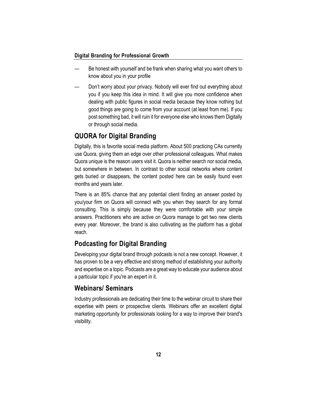- Be honest with yourself and be frank when sharing what you want others to know about you in your profile
- Don't worry about your privacy. Nobody will ever find out everything about you if you keep this idea in mind. It will give you more confidence when dealing with public figures in social media because they know nothing but good things are going to come from your account (at least from me). If you post something bad, it will ruin it for everyone else who knows them Digitally or through social media.

# **QUORA for Digital Branding**

Digitally, this is favorite social media platform. About 500 practicing CAs currently use Quora, giving them an edge over other professional colleagues. What makes Quora unique is the reason users visit it. Quora is neither search nor social media, but somewhere in between. In contrast to other social networks where content gets buried or disappears, the content posted here can be easily found even months and years later.

There is an 85% chance that any potential client finding an answer posted by you/your firm on Quora will connect with you when they search for any formal consulting. This is simply because they were comfortable with your simple answers. Practitioners who are active on Quora manage to get two new clients every year. Moreover, the brand is also cultivating as the platform has a global reach.

# **Podcasting for Digital Branding**

Developing your digital brand through podcasts is not a new concept. However, it has proven to be a very effective and strong method of establishing your authority and expertise on a topic. Podcasts are a great way to educate your audience about a particular topic if you're an expert in it.

# **Webinars/ Seminars**

Industry professionals are dedicating their time to the webinar circuit to share their expertise with peers or prospective clients. Webinars offer an excellent digital marketing opportunity for professionals looking for a way to improve their brand's visibility.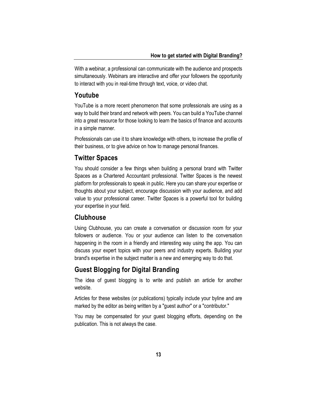With a webinar, a professional can communicate with the audience and prospects simultaneously. Webinars are interactive and offer your followers the opportunity to interact with you in real-time through text, voice, or video chat.

## **Youtube**

YouTube is a more recent phenomenon that some professionals are using as a way to build their brand and network with peers. You can build a YouTube channel into a great resource for those looking to learn the basics of finance and accounts in a simple manner.

Professionals can use it to share knowledge with others, to increase the profile of their business, or to give advice on how to manage personal finances.

## **Twitter Spaces**

You should consider a few things when building a personal brand with Twitter Spaces as a Chartered Accountant professional. Twitter Spaces is the newest platform for professionals to speak in public. Here you can share your expertise or thoughts about your subject, encourage discussion with your audience, and add value to your professional career. Twitter Spaces is a powerful tool for building your expertise in your field.

## **Clubhouse**

Using Clubhouse, you can create a conversation or discussion room for your followers or audience. You or your audience can listen to the conversation happening in the room in a friendly and interesting way using the app. You can discuss your expert topics with your peers and industry experts. Building your brand's expertise in the subject matter is a new and emerging way to do that.

# **Guest Blogging for Digital Branding**

The idea of guest blogging is to write and publish an article for another website.

Articles for these websites (or publications) typically include your byline and are marked by the editor as being written by a "guest author" or a "contributor."

You may be compensated for your guest blogging efforts, depending on the publication. This is not always the case.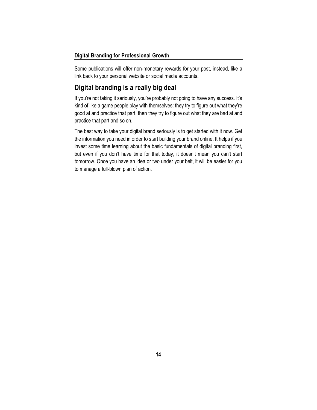Some publications will offer non-monetary rewards for your post, instead, like a link back to your personal website or social media accounts.

# **Digital branding is a really big deal**

If you're not taking it seriously, you're probably not going to have any success. It's kind of like a game people play with themselves: they try to figure out what they're good at and practice that part, then they try to figure out what they are bad at and practice that part and so on.

The best way to take your digital brand seriously is to get started with it now. Get the information you need in order to start building your brand online. It helps if you invest some time learning about the basic fundamentals of digital branding first, but even if you don't have time for that today, it doesn't mean you can't start tomorrow. Once you have an idea or two under your belt, it will be easier for you to manage a full-blown plan of action.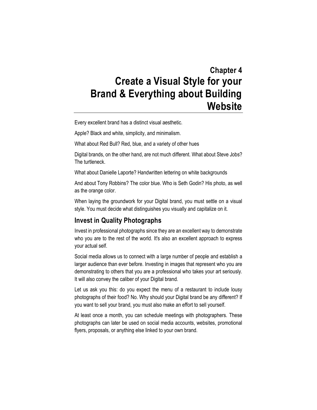# <span id="page-24-0"></span>**Chapter 4 Create a Visual Style for your Brand & Everything about Building Website**

Every excellent brand has a distinct visual aesthetic.

Apple? Black and white, simplicity, and minimalism.

What about Red Bull? Red, blue, and a variety of other hues

Digital brands, on the other hand, are not much different. What about Steve Jobs? The turtleneck.

What about Danielle Laporte? Handwritten lettering on white backgrounds

And about Tony Robbins? The color blue. Who is Seth Godin? His photo, as well as the orange color.

When laying the groundwork for your Digital brand, you must settle on a visual style. You must decide what distinguishes you visually and capitalize on it.

## **Invest in Quality Photographs**

Invest in professional photographs since they are an excellent way to demonstrate who you are to the rest of the world. It's also an excellent approach to express your actual self.

Social media allows us to connect with a large number of people and establish a larger audience than ever before. Investing in images that represent who you are demonstrating to others that you are a professional who takes your art seriously. It will also convey the caliber of your Digital brand.

Let us ask you this: do you expect the menu of a restaurant to include lousy photographs of their food? No. Why should your Digital brand be any different? If you want to sell your brand, you must also make an effort to sell yourself.

At least once a month, you can schedule meetings with photographers. These photographs can later be used on social media accounts, websites, promotional flyers, proposals, or anything else linked to your own brand.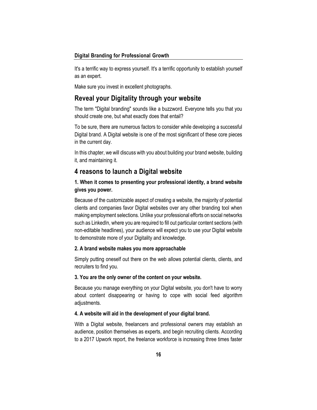It's a terrific way to express yourself. It's a terrific opportunity to establish yourself as an expert.

Make sure you invest in excellent photographs.

## **Reveal your Digitality through your website**

The term "Digital branding" sounds like a buzzword. Everyone tells you that you should create one, but what exactly does that entail?

To be sure, there are numerous factors to consider while developing a successful Digital brand. A Digital website is one of the most significant of these core pieces in the current day.

In this chapter, we will discuss with you about building your brand website, building it, and maintaining it.

## **4 reasons to launch a Digital website**

## **1. When it comes to presenting your professional identity, a brand website gives you power.**

Because of the customizable aspect of creating a website, the majority of potential clients and companies favor Digital websites over any other branding tool when making employment selections. Unlike your professional efforts on social networks such as LinkedIn, where you are required to fill out particular content sections (with non-editable headlines), your audience will expect you to use your Digital website to demonstrate more of your Digitality and knowledge.

#### **2. A brand website makes you more approachable**

Simply putting oneself out there on the web allows potential clients, clients, and recruiters to find you.

#### **3. You are the only owner of the content on your website.**

Because you manage everything on your Digital website, you don't have to worry about content disappearing or having to cope with social feed algorithm adjustments.

#### **4. A website will aid in the development of your digital brand.**

With a Digital website, freelancers and professional owners may establish an audience, position themselves as experts, and begin recruiting clients. According to a 2017 [Upwork report,](https://www.upwork.com/press/2017/10/17/freelancing-in-america-2017/) the freelance workforce is increasing three times faster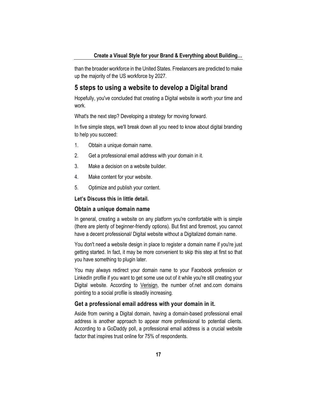than the broader workforce in the United States. Freelancers are predicted to make up the majority of the US workforce by 2027.

## **5 steps to using a website to develop a Digital brand**

Hopefully, you've concluded that creating a Digital website is worth your time and work.

What's the next step? Developing a strategy for moving forward.

In five simple steps, we'll break down all you need to know about digital branding to help you succeed:

- 1. Obtain a unique domain name.
- 2. Get a professional email address with your domain in it.
- 3. Make a decision on a website builder.
- 4. Make content for your website.
- 5. Optimize and publish your content.

## **Let's Discuss this in little detail.**

#### **Obtain a unique domain name**

In general, creating a website on any platform you're comfortable with is simple (there are plenty of beginner-friendly options). But first and foremost, you cannot have a decent professional/ Digital website without a Digitalized domain name.

You don't need a website design in place to register a domain name if you're just getting started. In fact, it may be more convenient to skip this step at first so that you have something to plugin later.

You may always redirect your domain name to your Facebook profession or LinkedIn profile if you want to get some use out of it while you're still creating your Digital website. According to [Verisign,](https://www.verisign.com/assets/domain-name-report-september2015.pdf) the number of.net and.com domains pointing to a social profile is steadily increasing.

#### **Get a professional email address with your domain in it.**

Aside from owning a Digital domain, having a domain-based professional email address is another approach to appear more professional to potential clients. According to a [GoDaddy](https://smallbiztrends.com/2016/07/professional-email-addresses-trustworthy.html) poll, a professional email address is a crucial website factor that inspires trust online for 75% of respondents.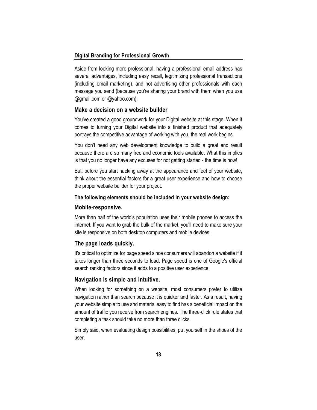Aside from looking more professional, having a professional email address has several advantages, including easy recall, legitimizing professional transactions (including email marketing), and not advertising other professionals with each message you send (because you're sharing your brand with them when you use @gmail.com or @yahoo.com).

#### **Make a decision on a website builder**

You've created a good groundwork for your Digital website at this stage. When it comes to turning your Digital website into a finished product that adequately portrays the competitive advantage of working with you, the real work begins.

You don't need any web development knowledge to build a great end result because there are so many free and economic tools available. What this implies is that you no longer have any excuses for not getting started - the time is now!

But, before you start hacking away at the appearance and feel of your website, think about the essential factors for a great user experience and how to choose the proper website builder for your project.

#### **The following elements should be included in your website design:**

#### **Mobile-responsive.**

More than half of the world's population uses their mobile phones to access the internet. If you want to grab the bulk of the market, you'll need to make sure your site is responsive on both desktop computers and mobile devices.

#### **The page loads quickly.**

It's critical to optimize for page speed since consumers will abandon a website if it takes longer than three seconds to load. Page speed is one of Google's official search ranking factors since it adds to a positive user experience.

#### **Navigation is simple and intuitive.**

When looking for something on a website, most consumers prefer to utilize navigation rather than search because it is quicker and faster. As a result, having your website simple to use and material easy to find has a beneficial impact on the amount of traffic you receive from search engines. The three-click rule states that completing a task should take no more than three clicks.

Simply said, when evaluating design possibilities, put yourself in the shoes of the user.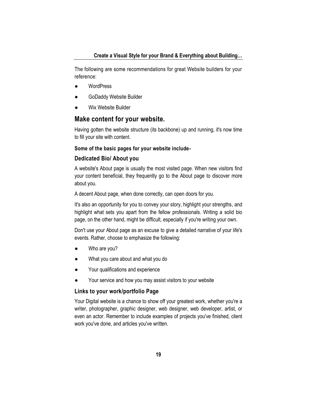The following are some recommendations for great Website builders for your reference:

- **WordPress**
- GoDaddy Website Builder
- **Wix Website Builder**

## **Make content for your website.**

Having gotten the website structure (its backbone) up and running, it's now time to fill your site with content.

#### **Some of the basic pages for your website include-**

#### **Dedicated Bio/ About you**

A website's About page is usually the most visited page. When new visitors find your content beneficial, they frequently go to the About page to discover more about you.

A decent About page, when done correctly, can open doors for you.

It's also an opportunity for you to convey your story, highlight your strengths, and highlight what sets you apart from the fellow professionals. Writing a solid bio page, on the other hand, might be difficult, especially if you're writing your own.

Don't use your About page as an excuse to give a detailed narrative of your life's events. Rather, choose to emphasize the following:

- Who are you?
- What you care about and what you do
- Your qualifications and experience
- Your service and how you may assist visitors to your website

### **Links to your work/portfolio Page**

Your Digital website is a chance to show off your greatest work, whether you're a writer, photographer, graphic designer, web designer, web developer, artist, or even an actor. Remember to include examples of projects you've finished, client work you've done, and articles you've written.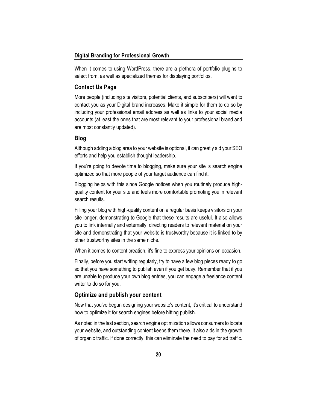When it comes to using WordPress, there are a plethora of portfolio plugins to select from, as well as specialized themes for displaying portfolios.

#### **Contact Us Page**

More people (including site visitors, potential clients, and subscribers) will want to contact you as your Digital brand increases. Make it simple for them to do so by including your professional email address as well as links to your social media accounts (at least the ones that are most relevant to your professional brand and are most constantly updated).

#### **Blog**

Although adding a blog area to your website is optional, it can greatly aid your SEO efforts and help you establish thought leadership.

If you're going to devote time to blogging, make sure your site is search engine optimized so that more people of your target audience can find it.

Blogging helps with this since Google notices when you routinely produce highquality content for your site and feels more comfortable promoting you in relevant search results.

Filling your blog with high-quality content on a regular basis keeps visitors on your site longer, demonstrating to Google that these results are useful. It also allows you to link internally and externally, directing readers to relevant material on your site and demonstrating that your website is trustworthy because it is linked to by other trustworthy sites in the same niche.

When it comes to content creation, it's fine to express your opinions on occasion.

Finally, before you start writing regularly, try to have a few blog pieces ready to go so that you have something to publish even if you get busy. Remember that if you are unable to produce your own blog entries, you can engage a freelance content writer to do so for you.

#### **Optimize and publish your content**

Now that you've begun designing your website's content, it's critical to understand how to optimize it for search engines before hitting publish.

As noted in the last section, search engine optimization allows consumers to locate your website, and outstanding content keeps them there. It also aids in the growth of organic traffic. If done correctly, this can eliminate the need to pay for ad traffic.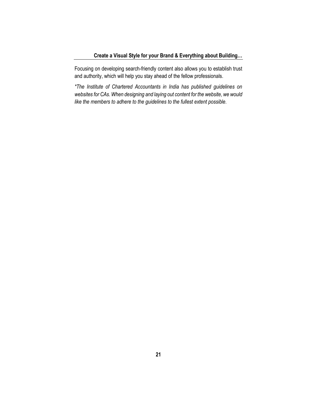Focusing on developing search-friendly content also allows you to establish trust and authority, which will help you stay ahead of the fellow professionals.

*\*The Institute of Chartered Accountants in India has published guidelines on websites for CAs. When designing and laying out content for the website, we would like the members to adhere to the guidelines to the fullest extent possible.*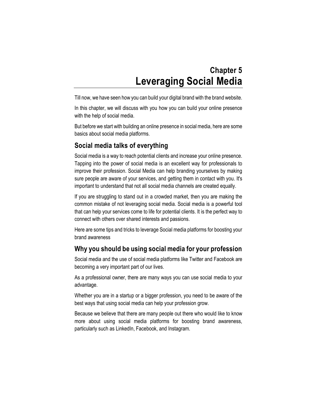# **Chapter 5 Leveraging Social Media**

<span id="page-31-0"></span>Till now, we have seen how you can build your digital brand with the brand website.

In this chapter, we will discuss with you how you can build your online presence with the help of social media.

But before we start with building an online presence in social media, here are some basics about social media platforms.

# **Social media talks of everything**

Social media is a way to reach potential clients and increase your online presence. Tapping into the power of social media is an excellent way for professionals to improve their profession. Social Media can help branding yourselves by making sure people are aware of your services, and getting them in contact with you. It's important to understand that not all social media channels are created equally.

If you are struggling to stand out in a crowded market, then you are making the common mistake of not leveraging social media. Social media is a powerful tool that can help your services come to life for potential clients. It is the perfect way to connect with others over shared interests and passions.

Here are some tips and tricks to leverage Social media platforms for boosting your brand awareness

# **Why you should be using social media for your profession**

Social media and the use of social media platforms like Twitter and Facebook are becoming a very important part of our lives.

As a professional owner, there are many ways you can use social media to your advantage.

Whether you are in a startup or a bigger profession, you need to be aware of the best ways that using social media can help your profession grow.

Because we believe that there are many people out there who would like to know more about using social media platforms for boosting brand awareness, particularly such as LinkedIn, Facebook, and Instagram.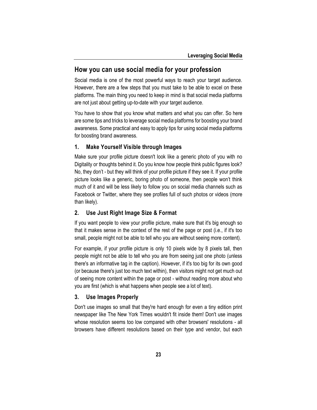## **How you can use social media for your profession**

Social media is one of the most powerful ways to reach your target audience. However, there are a few steps that you must take to be able to excel on these platforms. The main thing you need to keep in mind is that social media platforms are not just about getting up-to-date with your target audience.

You have to show that you know what matters and what you can offer. So here are some tips and tricks to leverage social media platforms for boosting your brand awareness. Some practical and easy to apply tips for using social media platforms for boosting brand awareness.

#### **1. Make Yourself Visible through Images**

Make sure your profile picture doesn't look like a generic photo of you with no Digitality or thoughts behind it. Do you know how people think public figures look? No, they don't - but they will think of your profile picture if they see it. If your profile picture looks like a generic, boring photo of someone, then people won't think much of it and will be less likely to follow you on social media channels such as Facebook or Twitter, where they see profiles full of such photos or videos (more than likely).

## **2. Use Just Right Image Size & Format**

If you want people to view your profile picture, make sure that it's big enough so that it makes sense in the context of the rest of the page or post (i.e., if it's too small, people might not be able to tell who you are without seeing more content).

For example, if your profile picture is only 10 pixels wide by 8 pixels tall, then people might not be able to tell who you are from seeing just one photo (unless there's an informative tag in the caption). However, if it's too big for its own good (or because there's just too much text within), then visitors might not get much out of seeing more content within the page or post - without reading more about who you are first (which is what happens when people see a lot of text).

#### **3. Use Images Properly**

Don't use images so small that they're hard enough for even a tiny edition print newspaper like The New York Times wouldn't fit inside them! Don't use images whose resolution seems too low compared with other browsers' resolutions - all browsers have different resolutions based on their type and vendor, but each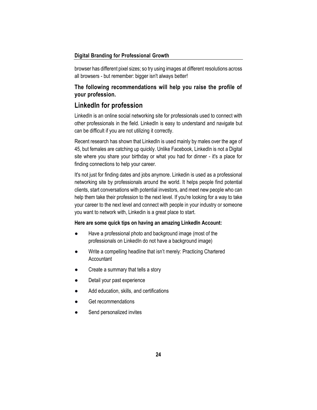browser has different pixel sizes; so try using images at different resolutions across all browsers - but remember: bigger isn't always better!

## **The following recommendations will help you raise the profile of your profession.**

# **LinkedIn for profession**

LinkedIn is an online social networking site for professionals used to connect with other professionals in the field. LinkedIn is easy to understand and navigate but can be difficult if you are not utilizing it correctly.

Recent research has shown that LinkedIn is used mainly by males over the age of 45, but females are catching up quickly. Unlike Facebook, LinkedIn is not a Digital site where you share your birthday or what you had for dinner - it's a place for finding connections to help your career.

It's not just for finding dates and jobs anymore. Linkedin is used as a professional networking site by professionals around the world. It helps people find potential clients, start conversations with potential investors, and meet new people who can help them take their profession to the next level. If you're looking for a way to take your career to the next level and connect with people in your industry or someone you want to network with, Linkedin is a great place to start.

#### **Here are some quick tips on having an amazing LinkedIn Account:**

- Have a professional photo and background image (most of the professionals on LinkedIn do not have a background image)
- Write a compelling headline that isn't merely: Practicing Chartered **Accountant**
- Create a summary that tells a story
- Detail your past experience
- Add education, skills, and certifications
- Get recommendations
- Send personalized invites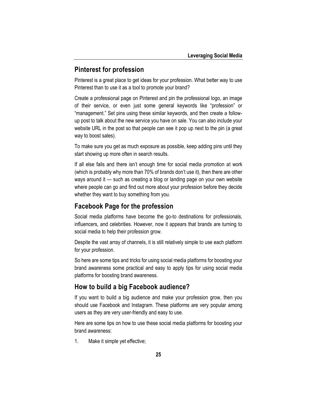## **Pinterest for profession**

Pinterest is a great place to get ideas for your profession. What better way to use Pinterest than to use it as a tool to promote your brand?

Create a professional page on Pinterest and pin the professional logo, an image of their service, or even just some general keywords like "profession" or "management." Set pins using these similar keywords, and then create a followup post to talk about the new service you have on sale. You can also include your website URL in the post so that people can see it pop up next to the pin (a great way to boost sales).

To make sure you get as much exposure as possible, keep adding pins until they start showing up more often in search results.

If all else fails and there isn't enough time for social media promotion at work (which is probably why more than 70% of brands don't use it), then there are other ways around it — such as creating a blog or landing page on your own website where people can go and find out more about your profession before they decide whether they want to buy something from you.

## **Facebook Page for the profession**

Social media platforms have become the go-to destinations for professionals, influencers, and celebrities. However, now it appears that brands are turning to social media to help their profession grow.

Despite the vast array of channels, it is still relatively simple to use each platform for your profession.

So here are some tips and tricks for using social media platforms for boosting your brand awareness some practical and easy to apply tips for using social media platforms for boosting brand awareness.

## **How to build a big Facebook audience?**

If you want to build a big audience and make your profession grow, then you should use Facebook and Instagram. These platforms are very popular among users as they are very user-friendly and easy to use.

Here are some tips on how to use these social media platforms for boosting your brand awareness:

1. Make it simple yet effective;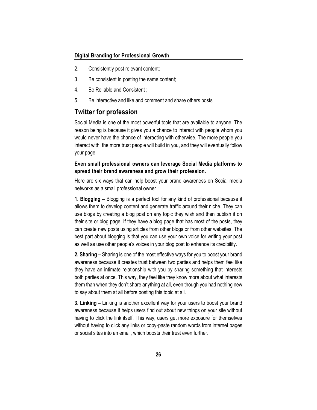- 2. Consistently post relevant content;
- 3. Be consistent in posting the same content;
- 4. Be Reliable and Consistent ;
- 5. Be interactive and like and comment and share others posts

## **Twitter for profession**

Social Media is one of the most powerful tools that are available to anyone. The reason being is because it gives you a chance to interact with people whom you would never have the chance of interacting with otherwise. The more people you interact with, the more trust people will build in you, and they will eventually follow your page.

### **Even small professional owners can leverage Social Media platforms to spread their brand awareness and grow their profession.**

Here are six ways that can help boost your brand awareness on Social media networks as a small professional owner :

**1. Blogging –** Blogging is a perfect tool for any kind of professional because it allows them to develop content and generate traffic around their niche. They can use blogs by creating a blog post on any topic they wish and then publish it on their site or blog page. If they have a blog page that has most of the posts, they can create new posts using articles from other blogs or from other websites. The best part about blogging is that you can use your own voice for writing your post as well as use other people's voices in your blog post to enhance its credibility.

**2. Sharing –** Sharing is one of the most effective ways for you to boost your brand awareness because it creates trust between two parties and helps them feel like they have an intimate relationship with you by sharing something that interests both parties at once. This way, they feel like they know more about what interests them than when they don't share anything at all, even though you had nothing new to say about them at all before posting this topic at all.

**3. Linking –** Linking is another excellent way for your users to boost your brand awareness because it helps users find out about new things on your site without having to click the link itself. This way, users get more exposure for themselves without having to click any links or copy-paste random words from internet pages or social sites into an email, which boosts their trust even further.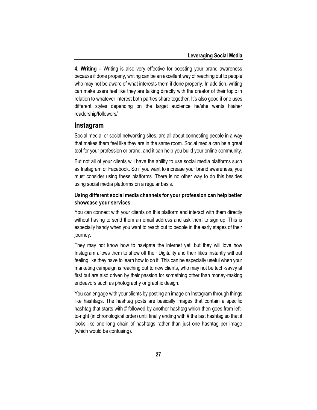**4. Writing –** Writing is also very effective for boosting your brand awareness because if done properly, writing can be an excellent way of reaching out to people who may not be aware of what interests them if done properly. In addition, writing can make users feel like they are talking directly with the creator of their topic in relation to whatever interest both parties share together. It's also good if one uses different styles depending on the target audience he/she wants his/her readership/followers/

### **Instagram**

Social media, or social networking sites, are all about connecting people in a way that makes them feel like they are in the same room. Social media can be a great tool for your profession or brand, and it can help you build your online community.

But not all of your clients will have the ability to use social media platforms such as Instagram or Facebook. So if you want to increase your brand awareness, you must consider using these platforms. There is no other way to do this besides using social media platforms on a regular basis.

## **Using different social media channels for your profession can help better showcase your services.**

You can connect with your clients on this platform and interact with them directly without having to send them an email address and ask them to sign up. This is especially handy when you want to reach out to people in the early stages of their journey.

They may not know how to navigate the internet yet, but they will love how Instagram allows them to show off their Digitality and their likes instantly without feeling like they have to learn how to do it. This can be especially useful when your marketing campaign is reaching out to new clients, who may not be tech-savvy at first but are also driven by their passion for something other than money-making endeavors such as photography or graphic design.

You can engage with your clients by posting an image on Instagram through things like hashtags. The hashtag posts are basically images that contain a specific hashtag that starts with # followed by another hashtag which then goes from leftto-right (in chronological order) until finally ending with # the last hashtag so that it looks like one long chain of hashtags rather than just one hashtag per image (which would be confusing).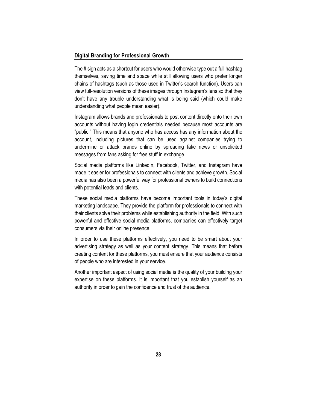The # sign acts as a shortcut for users who would otherwise type out a full hashtag themselves, saving time and space while still allowing users who prefer longer chains of hashtags (such as those used in Twitter's search function). Users can view full-resolution versions of these images through Instagram's lens so that they don't have any trouble understanding what is being said (which could make understanding what people mean easier).

Instagram allows brands and professionals to post content directly onto their own accounts without having login credentials needed because most accounts are "public." This means that anyone who has access has any information about the account, including pictures that can be used against companies trying to undermine or attack brands online by spreading fake news or unsolicited messages from fans asking for free stuff in exchange.

Social media platforms like LinkedIn, Facebook, Twitter, and Instagram have made it easier for professionals to connect with clients and achieve growth. Social media has also been a powerful way for professional owners to build connections with potential leads and clients.

These social media platforms have become important tools in today's digital marketing landscape. They provide the platform for professionals to connect with their clients solve their problems while establishing authority in the field. With such powerful and effective social media platforms, companies can effectively target consumers via their online presence.

In order to use these platforms effectively, you need to be smart about your advertising strategy as well as your content strategy. This means that before creating content for these platforms, you must ensure that your audience consists of people who are interested in your service.

Another important aspect of using social media is the quality of your building your expertise on these platforms. It is important that you establish yourself as an authority in order to gain the confidence and trust of the audience.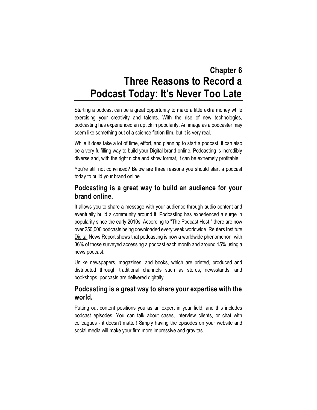# <span id="page-38-0"></span>**Chapter 6 Three Reasons to Record a Podcast Today: It's Never Too Late**

Starting a podcast can be a great opportunity to make a little extra money while exercising your creativity and talents. With the rise of new technologies, podcasting has experienced an uptick in popularity. An image as a podcaster may seem like something out of a science fiction film, but it is very real.

While it does take a lot of time, effort, and planning to start a podcast, it can also be a very fulfilling way to build your Digital brand online. Podcasting is incredibly diverse and, with the right niche and show format, it can be extremely profitable.

You're still not convinced? Below are three reasons you should start a podcast today to build your brand online.

# **Podcasting is a great way to build an audience for your brand online.**

It allows you to share a message with your audience through audio content and eventually build a community around it. Podcasting has experienced a surge in popularity since the early 2010s. According to "The Podcast Host," there are now over 250,000 podcasts being downloaded every week worldwide. [Reuters Institute](https://www.digitalnewsreport.org/publications/2019/news-podcasts-opportunities-publishers/)  [Digital](https://www.digitalnewsreport.org/publications/2019/news-podcasts-opportunities-publishers/) News Report shows that podcasting is now a worldwide phenomenon, with 36% of those surveyed accessing a podcast each month and around 15% using a news podcast.

Unlike newspapers, magazines, and books, which are printed, produced and distributed through traditional channels such as stores, newsstands, and bookshops, podcasts are delivered digitally.

# **Podcasting is a great way to share your expertise with the world.**

Putting out content positions you as an expert in your field, and this includes podcast episodes. You can talk about cases, interview clients, or chat with colleagues - it doesn't matter! Simply having the episodes on your website and social media will make your firm more impressive and gravitas.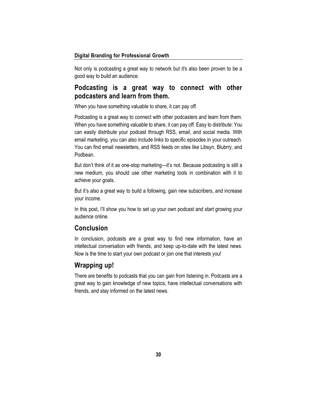Not only is podcasting a great way to network but it's also been proven to be a good way to build an audience.

# **Podcasting is a great way to connect with other podcasters and learn from them.**

When you have something valuable to share, it can pay off.

Podcasting is a great way to connect with other podcasters and learn from them. When you have something valuable to share, it can pay off. Easy to distribute: You can easily distribute your podcast through RSS, email, and social media. With email marketing, you can also include links to specific episodes in your outreach. You can find email newsletters, and RSS feeds on sites like Libsyn, Blubrry, and Podbean.

But don't think of it as one-stop marketing—it's not. Because podcasting is still a new medium, you should use other marketing tools in combination with it to achieve your goals.

But it's also a great way to build a following, gain new subscribers, and increase your income.

In this post, I'll show you how to set up your own podcast and start growing your audience online.

## **Conclusion**

In conclusion, podcasts are a great way to find new information, have an intellectual conversation with friends, and keep up-to-date with the latest news. Now is the time to start your own podcast or join one that interests you!

## **Wrapping up!**

There are benefits to podcasts that you can gain from listening in. Podcasts are a great way to gain knowledge of new topics, have intellectual conversations with friends, and stay informed on the latest news.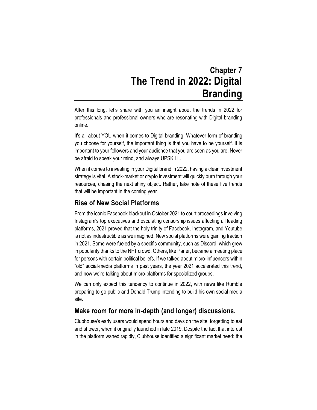# **Chapter 7 The Trend in 2022: Digital Branding**

<span id="page-40-0"></span>After this long, let's share with you an insight about the trends in 2022 for professionals and professional owners who are resonating with Digital branding online.

It's all about YOU when it comes to Digital branding. Whatever form of branding you choose for yourself, the important thing is that you have to be yourself. It is important to your followers and your audience that you are seen as you are. Never be afraid to speak your mind, and always UPSKILL.

When it comes to investing in your Digital brand in 2022, having a clear investment strategy is vital. A stock-market or crypto investment will quickly burn through your resources, chasing the next shiny object. Rather, take note of these five trends that will be important in the coming year.

## **Rise of New Social Platforms**

From the iconic Facebook blackout in October 2021 to court proceedings involving Instagram's top executives and escalating censorship issues affecting all leading platforms, 2021 proved that the holy trinity of Facebook, Instagram, and Youtube is not as indestructible as we imagined. New social platforms were gaining traction in 2021. Some were fueled by a specific community, such as Discord, which grew in popularity thanks to the NFT crowd. Others, like Parler, became a meeting place for persons with certain political beliefs. If we talked about micro-influencers within "old" social-media platforms in past years, the year 2021 accelerated this trend, and now we're talking about micro-platforms for specialized groups.

We can only expect this tendency to continue in 2022, with news like Rumble preparing to go public and Donald Trump intending to build his own social media site.

# **Make room for more in-depth (and longer) discussions.**

Clubhouse's early users would spend hours and days on the site, forgetting to eat and shower, when it originally launched in late 2019. Despite the fact that interest in the platform waned rapidly, Clubhouse identified a significant market need: the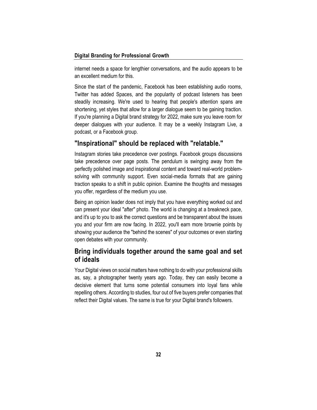internet needs a space for lengthier conversations, and the audio appears to be an excellent medium for this.

Since the start of the pandemic, Facebook has been establishing audio rooms, Twitter has added Spaces, and the popularity of podcast listeners has been steadily increasing. We're used to hearing that people's attention spans are shortening, yet styles that allow for a larger dialogue seem to be gaining traction. If you're planning a Digital brand strategy for 2022, make sure you leave room for deeper dialogues with your audience. It may be a weekly Instagram Live, a podcast, or a Facebook group.

# **"Inspirational" should be replaced with "relatable."**

Instagram stories take precedence over postings. Facebook groups discussions take precedence over page posts. The pendulum is swinging away from the perfectly polished image and inspirational content and toward real-world problemsolving with community support. Even social-media formats that are gaining traction speaks to a shift in public opinion. Examine the thoughts and messages you offer, regardless of the medium you use.

Being an opinion leader does not imply that you have everything worked out and can present your ideal "after" photo. The world is changing at a breakneck pace, and it's up to you to ask the correct questions and be transparent about the issues you and your firm are now facing. In 2022, you'll earn more brownie points by showing your audience the "behind the scenes" of your outcomes or even starting open debates with your community.

# **Bring individuals together around the same goal and set of ideals**

Your Digital views on social matters have nothing to do with your professional skills as, say, a photographer twenty years ago. Today, they can easily become a decisive element that turns some potential consumers into loyal fans while repelling others. According to studies, four out of five buyers prefer companies that reflect their Digital values. The same is true for your Digital brand's followers.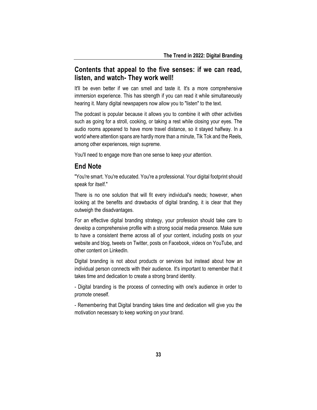# **Contents that appeal to the five senses: if we can read, listen, and watch- They work well!**

It'll be even better if we can smell and taste it. It's a more comprehensive immersion experience. This has strength if you can read it while simultaneously hearing it. Many digital newspapers now allow you to "listen" to the text.

The podcast is popular because it allows you to combine it with other activities such as going for a stroll, cooking, or taking a rest while closing your eyes. The audio rooms appeared to have more travel distance, so it stayed halfway. In a world where attention spans are hardly more than a minute, Tik Tok and the Reels, among other experiences, reign supreme.

You'll need to engage more than one sense to keep your attention.

## **End Note**

"You're smart. You're educated. You're a professional. Your digital footprint should speak for itself."

There is no one solution that will fit every individual's needs; however, when looking at the benefits and drawbacks of digital branding, it is clear that they outweigh the disadvantages.

For an effective digital branding strategy, your profession should take care to develop a comprehensive profile with a strong social media presence. Make sure to have a consistent theme across all of your content, including posts on your website and blog, tweets on Twitter, posts on Facebook, videos on YouTube, and other content on LinkedIn.

Digital branding is not about products or services but instead about how an individual person connects with their audience. It's important to remember that it takes time and dedication to create a strong brand identity.

- Digital branding is the process of connecting with one's audience in order to promote oneself.

- Remembering that Digital branding takes time and dedication will give you the motivation necessary to keep working on your brand.